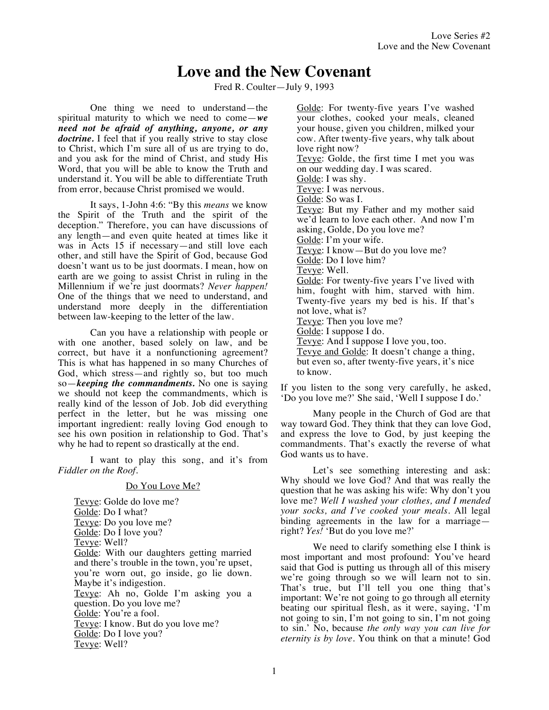## **Love and the New Covenant**

Fred R. Coulter—July 9, 1993

One thing we need to understand—the spiritual maturity to which we need to come—*we need not be afraid of anything, anyone, or any doctrine.* I feel that if you really strive to stay close to Christ, which I'm sure all of us are trying to do, and you ask for the mind of Christ, and study His Word, that you will be able to know the Truth and understand it. You will be able to differentiate Truth from error, because Christ promised we would.

It says, 1-John 4:6: "By this *means* we know the Spirit of the Truth and the spirit of the deception." Therefore, you can have discussions of any length—and even quite heated at times like it was in Acts 15 if necessary—and still love each other, and still have the Spirit of God, because God doesn't want us to be just doormats. I mean, how on earth are we going to assist Christ in ruling in the Millennium if we're just doormats? *Never happen!* One of the things that we need to understand, and understand more deeply in the differentiation between law-keeping to the letter of the law.

Can you have a relationship with people or with one another, based solely on law, and be correct, but have it a nonfunctioning agreement? This is what has happened in so many Churches of God, which stress—and rightly so, but too much so—*keeping the commandments.* No one is saying we should not keep the commandments, which is really kind of the lesson of Job. Job did everything perfect in the letter, but he was missing one important ingredient: really loving God enough to see his own position in relationship to God. That's why he had to repent so drastically at the end.

I want to play this song, and it's from *Fiddler on the Roof*.

## Do You Love Me?

Tevye: Golde do love me? Golde: Do I what? Tevye: Do you love me? Golde: Do I love you? Tevye: Well? Golde: With our daughters getting married and there's trouble in the town, you're upset, you're worn out, go inside, go lie down. Maybe it's indigestion. Tevye: Ah no, Golde I'm asking you a question. Do you love me? Golde: You're a fool. Tevye: I know. But do you love me? Golde: Do I love you? Tevye: Well?

Golde: For twenty-five years I've washed your clothes, cooked your meals, cleaned your house, given you children, milked your cow. After twenty-five years, why talk about love right now? Tevye: Golde, the first time I met you was on our wedding day. I was scared. Golde: I was shy. Tevye: I was nervous. Golde: So was I. Tevye: But my Father and my mother said we'd learn to love each other. And now I'm asking, Golde, Do you love me? Golde: I'm your wife. Tevye: I know—But do you love me? Golde: Do I love him? Tevye: Well. Golde: For twenty-five years I've lived with him, fought with him, starved with him. Twenty-five years my bed is his. If that's not love, what is? Tevye: Then you love me? Golde: I suppose I do. Tevye: And I suppose I love you, too. Tevye and Golde: It doesn't change a thing, but even so, after twenty-five years, it's nice to know.

If you listen to the song very carefully, he asked, 'Do you love me?' She said, 'Well I suppose I do.'

Many people in the Church of God are that way toward God. They think that they can love God, and express the love to God, by just keeping the commandments. That's exactly the reverse of what God wants us to have.

Let's see something interesting and ask: Why should we love God? And that was really the question that he was asking his wife: Why don't you love me? *Well I washed your clothes, and I mended your socks, and I've cooked your meals.* All legal binding agreements in the law for a marriage right? *Yes!* 'But do you love me?'

We need to clarify something else I think is most important and most profound: You've heard said that God is putting us through all of this misery we're going through so we will learn not to sin. That's true, but I'll tell you one thing that's important: We're not going to go through all eternity beating our spiritual flesh, as it were, saying, 'I'm not going to sin, I'm not going to sin, I'm not going to sin.' No, because *the only way you can live for eternity is by love.* You think on that a minute! God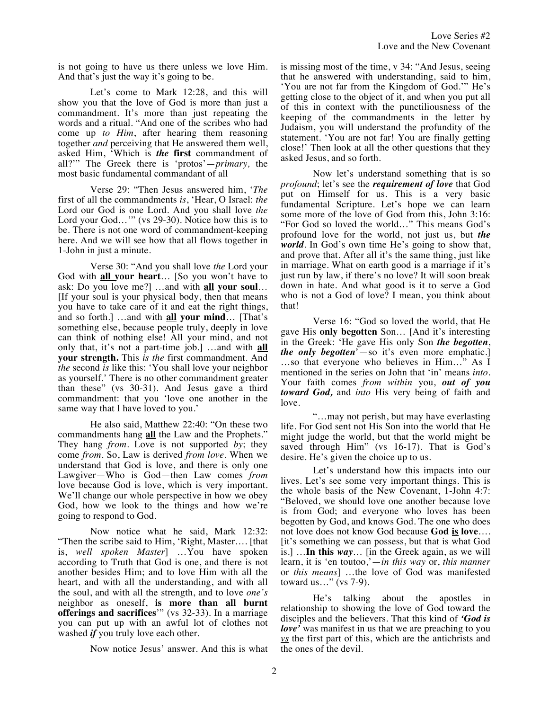is not going to have us there unless we love Him. And that's just the way it's going to be.

Let's come to Mark 12:28, and this will show you that the love of God is more than just a commandment. It's more than just repeating the words and a ritual. "And one of the scribes who had come up *to Him*, after hearing them reasoning together *and* perceiving that He answered them well, asked Him, 'Which is *the* **first** commandment of all?'" The Greek there is 'protos'—*primary,* the most basic fundamental commandant of all

Verse 29: "Then Jesus answered him, '*The* first of all the commandments *is*, 'Hear, O Israel: *the* Lord our God is one Lord. And you shall love *the* Lord your God...'" (vs 29-30). Notice how this is to be. There is not one word of commandment-keeping here. And we will see how that all flows together in 1-John in just a minute.

Verse 30: "And you shall love *the* Lord your God with **all your heart**… [So you won't have to ask: Do you love me?] …and with **all your soul**… [If your soul is your physical body, then that means you have to take care of it and eat the right things, and so forth.] …and with **all your mind**… [That's something else, because people truly, deeply in love can think of nothing else! All your mind, and not only that, it's not a part-time job.] …and with **all your strength.** This *is the* first commandment. And *the* second *is* like this: 'You shall love your neighbor as yourself.' There is no other commandment greater than these" (vs 30-31). And Jesus gave a third commandment: that you 'love one another in the same way that I have loved to you.'

He also said, Matthew 22:40: "On these two commandments hang **all** the Law and the Prophets." They hang *from*. Love is not supported *by*; they come *from*. So, Law is derived *from love*. When we understand that God is love, and there is only one Lawgiver—Who is God—then Law comes *from*  love because God is love, which is very important. We'll change our whole perspective in how we obey God, how we look to the things and how we're going to respond to God.

Now notice what he said, Mark 12:32: "Then the scribe said to Him, 'Right, Master…. [that is, *well spoken Master*] …You have spoken according to Truth that God is one, and there is not another besides Him; and to love Him with all the heart, and with all the understanding, and with all the soul, and with all the strength, and to love *one's* neighbor as oneself, **is more than all burnt offerings and sacrifices**'" (vs 32-33). In a marriage you can put up with an awful lot of clothes not washed *if* you truly love each other.

Now notice Jesus' answer. And this is what

is missing most of the time, v 34: "And Jesus, seeing that he answered with understanding, said to him, 'You are not far from the Kingdom of God.'" He's getting close to the object of it, and when you put all of this in context with the punctiliousness of the keeping of the commandments in the letter by Judaism, you will understand the profundity of the statement. 'You are not far! You are finally getting close!' Then look at all the other questions that they asked Jesus, and so forth.

Now let's understand something that is so *profound*; let's see the *requirement of love* that God put on Himself for us. This is a very basic fundamental Scripture. Let's hope we can learn some more of the love of God from this, John 3:16: "For God so loved the world…" This means God's profound love for the world, not just us, but *the world*. In God's own time He's going to show that, and prove that. After all it's the same thing, just like in marriage. What on earth good is a marriage if it's just run by law, if there's no love? It will soon break down in hate. And what good is it to serve a God who is not a God of love? I mean, you think about that!

Verse 16: "God so loved the world, that He gave His **only begotten** Son… [And it's interesting in the Greek: 'He gave His only Son *the begotten*, *the only begotten*'—so it's even more emphatic.] …so that everyone who believes in Him…" As I mentioned in the series on John that 'in' means *into*. Your faith comes *from within* you, *out of you toward God,* and *into* His very being of faith and love.

"…may not perish, but may have everlasting life. For God sent not His Son into the world that He might judge the world, but that the world might be saved through Him" (vs 16-17). That is God's desire. He's given the choice up to us.

Let's understand how this impacts into our lives. Let's see some very important things. This is the whole basis of the New Covenant, 1-John 4:7: "Beloved, we should love one another because love is from God; and everyone who loves has been begotten by God, and knows God. The one who does not love does not know God because **God is love**…. [it's something we can possess, but that is what God is.] …**In this** *way*… [in the Greek again, as we will learn, it is 'en toutoo,'—*in this way* or, *this manner* or *this means*] …the love of God was manifested toward us…" (vs 7-9).

He's talking about the apostles in relationship to showing the love of God toward the disciples and the believers. That this kind of *'God is love'* was manifest in us that we are preaching to you *vs* the first part of this, which are the antichrists and the ones of the devil.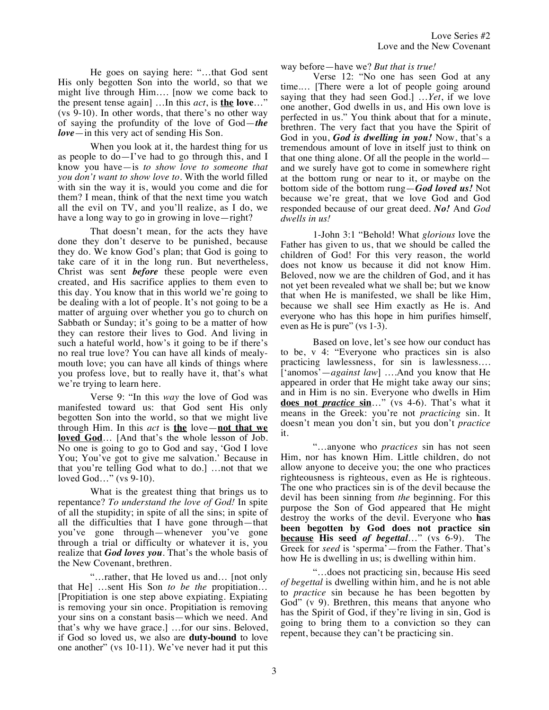He goes on saying here: "…that God sent His only begotten Son into the world, so that we might live through Him…. [now we come back to the present tense again] …In this *act*, is **the love**…" (vs 9-10). In other words, that there's no other way of saying the profundity of the love of God—*the love*—in this very act of sending His Son.

When you look at it, the hardest thing for us as people to do—I've had to go through this, and I know you have—is *to show love to someone that you don't want to show love to*. With the world filled with sin the way it is, would you come and die for them? I mean, think of that the next time you watch all the evil on TV, and you'll realize, as I do, we have a long way to go in growing in love—right?

That doesn't mean, for the acts they have done they don't deserve to be punished, because they do. We know God's plan; that God is going to take care of it in the long run. But nevertheless, Christ was sent *before* these people were even created, and His sacrifice applies to them even to this day. You know that in this world we're going to be dealing with a lot of people. It's not going to be a matter of arguing over whether you go to church on Sabbath or Sunday; it's going to be a matter of how they can restore their lives to God. And living in such a hateful world, how's it going to be if there's no real true love? You can have all kinds of mealymouth love; you can have all kinds of things where you profess love, but to really have it, that's what we're trying to learn here.

Verse 9: "In this *way* the love of God was manifested toward us: that God sent His only begotten Son into the world, so that we might live through Him. In this *act* is **the** love—**not that we loved God**… [And that's the whole lesson of Job. No one is going to go to God and say, 'God I love You; You've got to give me salvation.' Because in that you're telling God what to do.] …not that we loved God…" (vs 9-10).

What is the greatest thing that brings us to repentance? *To understand the love of God!* In spite of all the stupidity; in spite of all the sins; in spite of all the difficulties that I have gone through—that you've gone through—whenever you've gone through a trial or difficulty or whatever it is, you realize that *God loves you*. That's the whole basis of the New Covenant, brethren.

"…rather, that He loved us and… [not only that He] …sent His Son *to be the* propitiation… [Propitiation is one step above expiating. Expiating is removing your sin once. Propitiation is removing your sins on a constant basis—which we need. And that's why we have grace.] …for our sins. Beloved, if God so loved us, we also are **duty-bound** to love one another" (vs 10-11). We've never had it put this way before—have we? *But that is true!*

Verse 12: "No one has seen God at any time.… [There were a lot of people going around saying that they had seen God.] …*Yet*, if we love one another, God dwells in us, and His own love is perfected in us." You think about that for a minute, brethren. The very fact that you have the Spirit of God in you, *God is dwelling in you!* Now, that's a tremendous amount of love in itself just to think on that one thing alone. Of all the people in the world and we surely have got to come in somewhere right at the bottom rung or near to it, or maybe on the bottom side of the bottom rung—*God loved us!* Not because we're great, that we love God and God responded because of our great deed. *No!* And *God dwells in us!*

1-John 3:1 "Behold! What *glorious* love the Father has given to us, that we should be called the children of God! For this very reason, the world does not know us because it did not know Him. Beloved, now we are the children of God, and it has not yet been revealed what we shall be; but we know that when He is manifested, we shall be like Him, because we shall see Him exactly as He is. And everyone who has this hope in him purifies himself, even as He is pure" (vs 1-3).

Based on love, let's see how our conduct has to be, v 4: "Everyone who practices sin is also practicing lawlessness, for sin is lawlessness…. ['anomos'—*against law*] ….And you know that He appeared in order that He might take away our sins; and in Him is no sin. Everyone who dwells in Him **does not** *practice* **sin**…" (vs 4-6). That's what it means in the Greek: you're not *practicing* sin. It doesn't mean you don't sin, but you don't *practice* it.

"…anyone who *practices* sin has not seen Him, nor has known Him. Little children, do not allow anyone to deceive you; the one who practices righteousness is righteous, even as He is righteous. The one who practices sin is of the devil because the devil has been sinning from *the* beginning. For this purpose the Son of God appeared that He might destroy the works of the devil. Everyone who **has been begotten by God does not practice sin because His seed** *of begettal*…" (vs 6-9). The Greek for *seed* is 'sperma'—from the Father. That's how He is dwelling in us; is dwelling within him.

"…does not practicing sin, because His seed *of begettal* is dwelling within him, and he is not able to *practice* sin because he has been begotten by God" (v 9). Brethren, this means that anyone who has the Spirit of God, if they're living in sin, God is going to bring them to a conviction so they can repent, because they can't be practicing sin.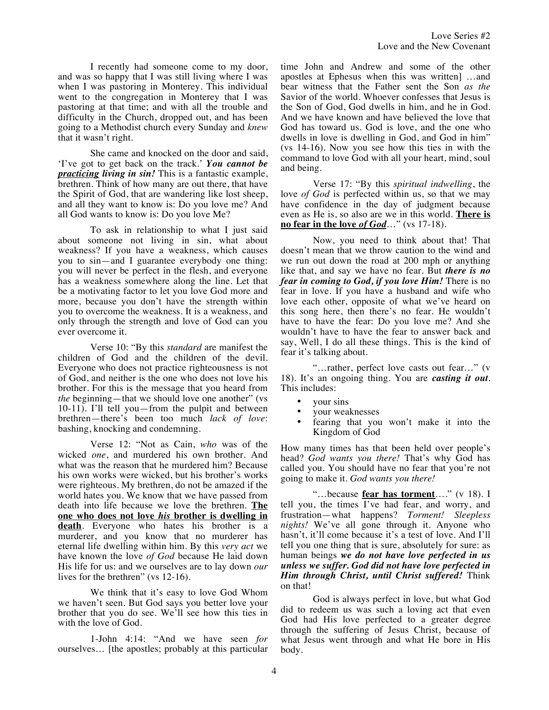I recently had someone come to my door, and was so happy that I was still living where I was when I was pastoring in Monterey. This individual went to the congregation in Monterey that I was pastoring at that time; and with all the trouble and difficulty in the Church, dropped out, and has been going to a Methodist church every Sunday and *knew* that it wasn't right.

She came and knocked on the door and said, 'I've got to get back on the track.' *You cannot be practicing living in sin!* This is a fantastic example, brethren. Think of how many are out there, that have the Spirit of God, that are wandering like lost sheep, and all they want to know is: Do you love me? And all God wants to know is: Do you love Me?

To ask in relationship to what I just said about someone not living in sin, what about weakness? If you have a weakness, which causes you to sin—and I guarantee everybody one thing: you will never be perfect in the flesh, and everyone has a weakness somewhere along the line. Let that be a motivating factor to let you love God more and more, because you don't have the strength within you to overcome the weakness. It is a weakness, and only through the strength and love of God can you ever overcome it.

Verse 10: "By this *standard* are manifest the children of God and the children of the devil. Everyone who does not practice righteousness is not of God, and neither is the one who does not love his brother. For this is the message that you heard from *the* beginning—that we should love one another" (vs 10-11). I'll tell you—from the pulpit and between brethren—there's been too much *lack of love*: bashing, knocking and condemning.

Verse 12: "Not as Cain, *who* was of the wicked *one*, and murdered his own brother. And what was the reason that he murdered him? Because his own works were wicked, but his brother's works were righteous. My brethren, do not be amazed if the world hates you. We know that we have passed from death into life because we love the brethren. **The one who does not love** *his* **brother is dwelling in**  death. Everyone who hates his brother is a murderer, and you know that no murderer has eternal life dwelling within him. By this *very act* we have known the love *of God* because He laid down His life for us: and we ourselves are to lay down *our* lives for the brethren" (vs 12-16).

We think that it's easy to love God Whom we haven't seen. But God says you better love your brother that you do see. We'll see how this ties in with the love of God.

1-John 4:14: "And we have seen *for*  ourselves… [the apostles; probably at this particular

time John and Andrew and some of the other apostles at Ephesus when this was written] …and bear witness that the Father sent the Son *as the* Savior of the world. Whoever confesses that Jesus is the Son of God, God dwells in him, and he in God. And we have known and have believed the love that God has toward us. God is love, and the one who dwells in love is dwelling in God, and God in him" (vs 14-16). Now you see how this ties in with the command to love God with all your heart, mind, soul and being.

Verse 17: "By this *spiritual indwelling*, the love *of God* is perfected within us, so that we may have confidence in the day of judgment because even as He is, so also are we in this world. **There is no fear in the love** *of God*…" (vs 17-18).

Now, you need to think about that! That doesn't mean that we throw caution to the wind and we run out down the road at 200 mph or anything like that, and say we have no fear. But *there is no fear in coming to God, if you love Him!* There is no fear in love. If you have a husband and wife who love each other, opposite of what we've heard on this song here, then there's no fear. He wouldn't have to have the fear: Do you love me? And she wouldn't have to have the fear to answer back and say, Well, I do all these things. This is the kind of fear it's talking about.

"…rather, perfect love casts out fear…" (v 18). It's an ongoing thing. You are *casting it out*. This includes:

- your sins
- your weaknesses
- fearing that you won't make it into the Kingdom of God

How many times has that been held over people's head? *God wants you there!* That's why God has called you. You should have no fear that you're not going to make it. *God wants you there!*

"…because **fear has torment**…." (v 18). I tell you, the times I've had fear, and worry, and frustration—what happens? *Torment! Sleepless nights!* We've all gone through it. Anyone who hasn't, it'll come because it's a test of love. And I'll tell you one thing that is sure, absolutely for sure: as human beings *we do not have love perfected in us unless we suffer. God did not have love perfected in Him through Christ, until Christ suffered!* Think on that!

God is always perfect in love, but what God did to redeem us was such a loving act that even God had His love perfected to a greater degree through the suffering of Jesus Christ, because of what Jesus went through and what He bore in His body.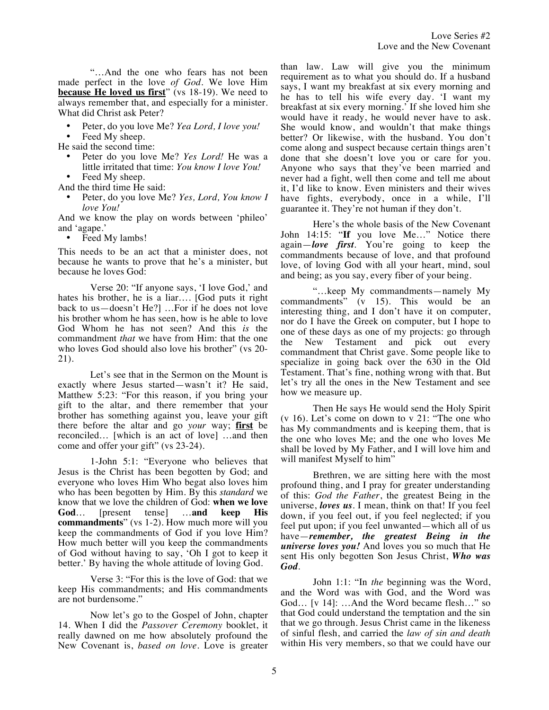"…And the one who fears has not been made perfect in the love *of God*. We love Him **because He loved us first**" (vs 18-19). We need to always remember that, and especially for a minister. What did Christ ask Peter?

- Peter, do you love Me? *Yea Lord, I love you!*
- Feed My sheep.

He said the second time:

- Peter do you love Me? *Yes Lord!* He was a little irritated that time: *You know I love You!*
- Feed My sheep.
- And the third time He said:
	- Peter, do you love Me? *Yes, Lord, You know I love You!*

And we know the play on words between 'phileo' and 'agape.'

• Feed My lambs!

This needs to be an act that a minister does, not because he wants to prove that he's a minister, but because he loves God:

Verse 20: "If anyone says, 'I love God,' and hates his brother, he is a liar…. [God puts it right back to us—doesn't He?] …For if he does not love his brother whom he has seen, how is he able to love God Whom he has not seen? And this *is* the commandment *that* we have from Him: that the one who loves God should also love his brother" (vs 20- 21).

Let's see that in the Sermon on the Mount is exactly where Jesus started—wasn't it? He said, Matthew 5:23: "For this reason, if you bring your gift to the altar, and there remember that your brother has something against you, leave your gift there before the altar and go *your* way; **first** be reconciled… [which is an act of love] …and then come and offer your gift" (vs 23-24).

1-John 5:1: "Everyone who believes that Jesus is the Christ has been begotten by God; and everyone who loves Him Who begat also loves him who has been begotten by Him. By this *standard* we know that we love the children of God: **when we love God**… [present tense] …**and keep His commandments**" (vs 1-2). How much more will you keep the commandments of God if you love Him? How much better will you keep the commandments of God without having to say, 'Oh I got to keep it better.' By having the whole attitude of loving God.

Verse 3: "For this is the love of God: that we keep His commandments; and His commandments are not burdensome."

Now let's go to the Gospel of John, chapter 14. When I did the *Passover Ceremony* booklet, it really dawned on me how absolutely profound the New Covenant is, *based on love*. Love is greater than law. Law will give you the minimum requirement as to what you should do. If a husband says, I want my breakfast at six every morning and he has to tell his wife every day. 'I want my breakfast at six every morning.' If she loved him she would have it ready, he would never have to ask. She would know, and wouldn't that make things better? Or likewise, with the husband. You don't come along and suspect because certain things aren't done that she doesn't love you or care for you. Anyone who says that they've been married and never had a fight, well then come and tell me about it, I'd like to know. Even ministers and their wives have fights, everybody, once in a while, I'll guarantee it. They're not human if they don't.

Here's the whole basis of the New Covenant John 14:15: "**If** you love Me…" Notice there again—*love first*. You're going to keep the commandments because of love, and that profound love, of loving God with all your heart, mind, soul and being; as you say, every fiber of your being.

"…keep My commandments—namely My commandments" (v 15). This would be an interesting thing, and I don't have it on computer, nor do I have the Greek on computer, but I hope to one of these days as one of my projects: go through the New Testament and pick out every commandment that Christ gave. Some people like to specialize in going back over the 630 in the Old Testament. That's fine, nothing wrong with that. But let's try all the ones in the New Testament and see how we measure up.

Then He says He would send the Holy Spirit (v 16). Let's come on down to v 21: "The one who has My commandments and is keeping them, that is the one who loves Me; and the one who loves Me shall be loved by My Father, and I will love him and will manifest Myself to him"

Brethren, we are sitting here with the most profound thing, and I pray for greater understanding of this: *God the Father*, the greatest Being in the universe, *loves us*. I mean, think on that! If you feel down, if you feel out, if you feel neglected; if you feel put upon; if you feel unwanted—which all of us have—*remember, the greatest Being in the universe loves you!* And loves you so much that He sent His only begotten Son Jesus Christ, *Who was God*.

John 1:1: "In *the* beginning was the Word, and the Word was with God, and the Word was God… [v 14]: …And the Word became flesh…" so that God could understand the temptation and the sin that we go through. Jesus Christ came in the likeness of sinful flesh, and carried the *law of sin and death* within His very members, so that we could have our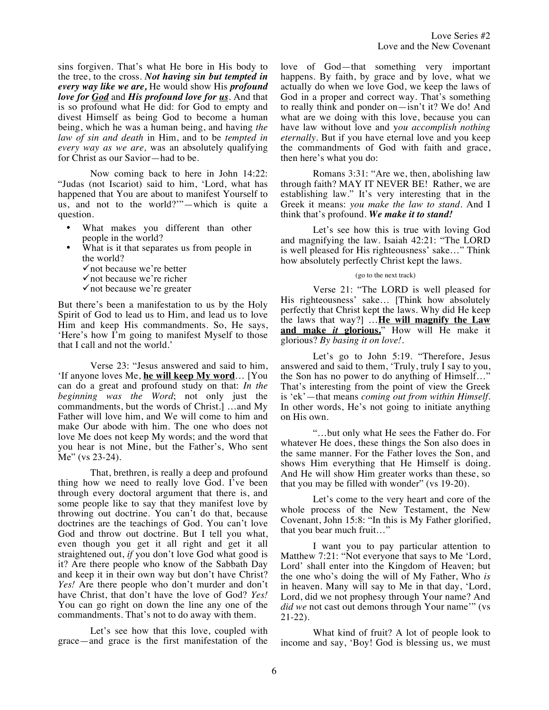sins forgiven. That's what He bore in His body to the tree, to the cross. *Not having sin but tempted in every way like we are,* He would show His *profound love for God* and *His profound love for us*. And that is so profound what He did: for God to empty and divest Himself as being God to become a human being, which he was a human being, and having *the law of sin and death* in Him, and to be *tempted in every way as we are,* was an absolutely qualifying for Christ as our Savior—had to be.

Now coming back to here in John 14:22: "Judas (not Iscariot) said to him, 'Lord, what has happened that You are about to manifest Yourself to us, and not to the world?'"—which is quite a question.

- What makes you different than other people in the world?
- What is it that separates us from people in the world?
	- $\checkmark$  not because we're better
	- $\checkmark$  not because we're richer
	- $\checkmark$  not because we're greater

But there's been a manifestation to us by the Holy Spirit of God to lead us to Him, and lead us to love Him and keep His commandments. So, He says, 'Here's how I'm going to manifest Myself to those that I call and not the world.'

Verse 23: "Jesus answered and said to him, 'If anyone loves Me, **he will keep My word**… [You can do a great and profound study on that: *In the beginning was the Word*; not only just the commandments, but the words of Christ.] …and My Father will love him, and We will come to him and make Our abode with him. The one who does not love Me does not keep My words; and the word that you hear is not Mine, but the Father's, Who sent Me" (vs 23-24).

That, brethren, is really a deep and profound thing how we need to really love God. I've been through every doctoral argument that there is, and some people like to say that they manifest love by throwing out doctrine. You can't do that, because doctrines are the teachings of God. You can't love God and throw out doctrine. But I tell you what, even though you get it all right and get it all straightened out, *if* you don't love God what good is it? Are there people who know of the Sabbath Day and keep it in their own way but don't have Christ? *Yes!* Are there people who don't murder and don't have Christ, that don't have the love of God? *Yes!* You can go right on down the line any one of the commandments. That's not to do away with them.

Let's see how that this love, coupled with grace—and grace is the first manifestation of the

love of God—that something very important happens. By faith, by grace and by love, what we actually do when we love God, we keep the laws of God in a proper and correct way. That's something to really think and ponder on—isn't it? We do! And what are we doing with this love, because you can have law without love and y*ou accomplish nothing eternally.* But if you have eternal love and you keep the commandments of God with faith and grace, then here's what you do:

Romans 3:31: "Are we, then, abolishing law through faith? MAY IT NEVER BE! Rather, we are establishing law." It's very interesting that in the Greek it means: *you make the law to stand*. And I think that's profound. *We make it to stand!*

Let's see how this is true with loving God and magnifying the law. Isaiah 42:21: "The LORD is well pleased for His righteousness' sake…" Think how absolutely perfectly Christ kept the laws.

## (go to the next track)

Verse 21: "The LORD is well pleased for His righteousness' sake… [Think how absolutely perfectly that Christ kept the laws. Why did He keep the laws that way?] …**He will magnify the Law and make** *it* **glorious.**" How will He make it glorious? *By basing it on love!.*

Let's go to John 5:19. "Therefore, Jesus answered and said to them, 'Truly, truly I say to you, the Son has no power to do anything of Himself…" That's interesting from the point of view the Greek is 'ek'—that means *coming out from within Himself*. In other words, He's not going to initiate anything on His own.

"…but only what He sees the Father do. For whatever He does, these things the Son also does in the same manner. For the Father loves the Son, and shows Him everything that He Himself is doing. And He will show Him greater works than these, so that you may be filled with wonder" (vs 19-20).

Let's come to the very heart and core of the whole process of the New Testament, the New Covenant, John 15:8: "In this is My Father glorified, that you bear much fruit…"

I want you to pay particular attention to Matthew 7:21: "Not everyone that says to Me 'Lord, Lord' shall enter into the Kingdom of Heaven; but the one who's doing the will of My Father, Who *is* in heaven. Many will say to Me in that day, 'Lord, Lord, did we not prophesy through Your name? And *did we* not cast out demons through Your name'" (vs 21-22).

What kind of fruit? A lot of people look to income and say, 'Boy! God is blessing us, we must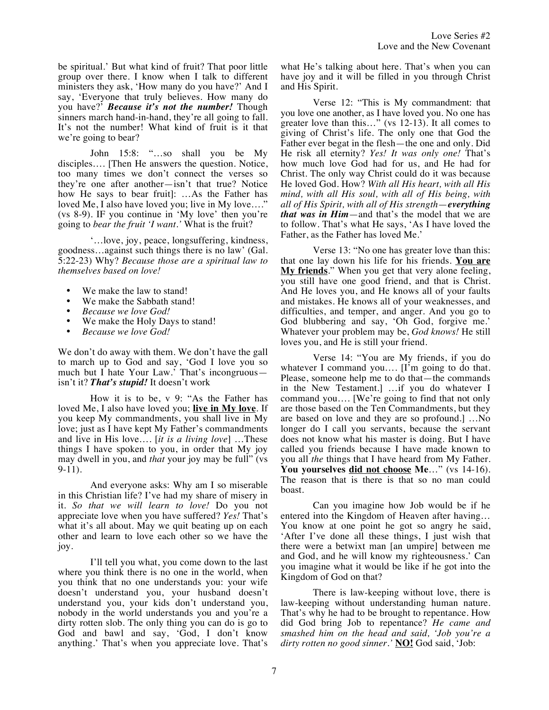be spiritual.' But what kind of fruit? That poor little group over there. I know when I talk to different ministers they ask, 'How many do you have?' And I say, 'Everyone that truly believes. How many do you have?' *Because it's not the number!* Though sinners march hand-in-hand, they're all going to fall. It's not the number! What kind of fruit is it that we're going to bear?

John 15:8: "…so shall you be My disciples…. [Then He answers the question. Notice, too many times we don't connect the verses so they're one after another—isn't that true? Notice how He says to bear fruit]: …As the Father has loved Me, I also have loved you; live in My love…." (vs 8-9). IF you continue in 'My love' then you're going to *bear the fruit 'I want.'* What is the fruit?

'…love, joy, peace, longsuffering, kindness, goodness…against such things there is no law' (Gal. 5:22-23) Why? *Because those are a spiritual law to themselves based on love!*

- We make the law to stand!
- We make the Sabbath stand!<br>• *Because we love God!*
- *Because we love God!*
- We make the Holy Days to stand!
- *Because we love God!*

We don't do away with them. We don't have the gall to march up to God and say, 'God I love you so much but I hate Your Law.' That's incongruous isn't it? *That's stupid!* It doesn't work

How it is to be, v 9: "As the Father has loved Me, I also have loved you; **live in My love**. If you keep My commandments, you shall live in My love; just as I have kept My Father's commandments and live in His love…. [*it is a living love*] …These things I have spoken to you, in order that My joy may dwell in you, and *that* your joy may be full" (vs 9-11).

And everyone asks: Why am I so miserable in this Christian life? I've had my share of misery in it. *So that we will learn to love!* Do you not appreciate love when you have suffered? *Yes!* That's what it's all about. May we quit beating up on each other and learn to love each other so we have the joy.

I'll tell you what, you come down to the last where you think there is no one in the world, when you think that no one understands you: your wife doesn't understand you, your husband doesn't understand you, your kids don't understand you, nobody in the world understands you and you're a dirty rotten slob. The only thing you can do is go to God and bawl and say, 'God, I don't know anything.' That's when you appreciate love. That's what He's talking about here. That's when you can have joy and it will be filled in you through Christ and His Spirit.

Verse 12: "This is My commandment: that you love one another, as I have loved you. No one has greater love than this…" (vs 12-13). It all comes to giving of Christ's life. The only one that God the Father ever begat in the flesh—the one and only. Did He risk all eternity? *Yes! It was only one!* That's how much love God had for us, and He had for Christ. The only way Christ could do it was because He loved God. How? *With all His heart, with all His mind, with all His soul, with all of His being, with all of His Spirit, with all of His strength*—*everything that was in Him*—and that's the model that we are to follow. That's what He says, 'As I have loved the Father, as the Father has loved Me.'

Verse 13: "No one has greater love than this: that one lay down his life for his friends. **You are My friends**." When you get that very alone feeling, you still have one good friend, and that is Christ. And He loves you, and He knows all of your faults and mistakes. He knows all of your weaknesses, and difficulties, and temper, and anger. And you go to God blubbering and say, 'Oh God, forgive me.' Whatever your problem may be, *God knows!* He still loves you, and He is still your friend.

Verse 14: "You are My friends, if you do whatever I command you.... [I'm going to do that. Please, someone help me to do that—the commands in the New Testament.] …if you do whatever I command you…. [We're going to find that not only are those based on the Ten Commandments, but they are based on love and they are so profound.] …No longer do I call you servants, because the servant does not know what his master is doing. But I have called you friends because I have made known to you all *the* things that I have heard from My Father. **You yourselves did not choose Me**…" (vs 14-16). The reason that is there is that so no man could boast.

Can you imagine how Job would be if he entered into the Kingdom of Heaven after having… You know at one point he got so angry he said, 'After I've done all these things, I just wish that there were a betwixt man [an umpire] between me and God, and he will know my righteousness.' Can you imagine what it would be like if he got into the Kingdom of God on that?

There is law-keeping without love, there is law-keeping without understanding human nature. That's why he had to be brought to repentance. How did God bring Job to repentance? *He came and smashed him on the head and said, 'Job you're a dirty rotten no good sinner.'* **NO!** God said, 'Job: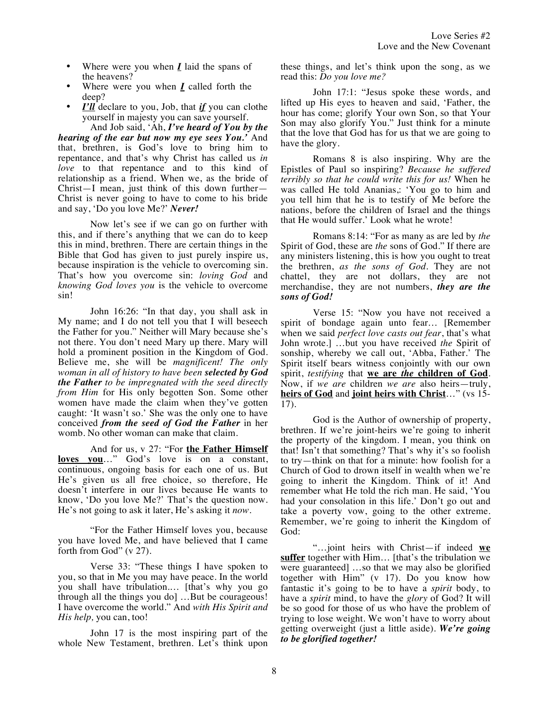- Where were you when  $I$  laid the spans of the heavens?
- Where were you when  $I$  called forth the deep?
- *I'll* declare to you, Job, that *if* you can clothe yourself in majesty you can save yourself.

And Job said, 'Ah, *I've heard of You by the hearing of the ear but now my eye sees You.'* And that, brethren, is God's love to bring him to repentance, and that's why Christ has called us *in love* to that repentance and to this kind of relationship as a friend. When we, as the bride of Christ—I mean, just think of this down further— Christ is never going to have to come to his bride and say, 'Do you love Me?' *Never!*

Now let's see if we can go on further with this, and if there's anything that we can do to keep this in mind, brethren. There are certain things in the Bible that God has given to just purely inspire us, because inspiration is the vehicle to overcoming sin. That's how you overcome sin: *loving God* and *knowing God loves you* is the vehicle to overcome sin!

John 16:26: "In that day, you shall ask in My name; and I do not tell you that I will beseech the Father for you." Neither will Mary because she's not there. You don't need Mary up there. Mary will hold a prominent position in the Kingdom of God. Believe me, she will be *magnificent! The only woman in all of history to have been selected by God the Father to be impregnated with the seed directly from Him* for His only begotten Son. Some other women have made the claim when they've gotten caught: 'It wasn't so.' She was the only one to have conceived *from the seed of God the Father* in her womb. No other woman can make that claim.

And for us, v 27: "For **the Father Himself loves you**…" God's love is on a constant, continuous, ongoing basis for each one of us. But He's given us all free choice, so therefore, He doesn't interfere in our lives because He wants to know, 'Do you love Me?' That's the question now. He's not going to ask it later, He's asking it *now*.

"For the Father Himself loves you, because you have loved Me, and have believed that I came forth from God" (v 27).

Verse 33: "These things I have spoken to you, so that in Me you may have peace. In the world you shall have tribulation.… [that's why you go through all the things you do] …But be courageous! I have overcome the world." And *with His Spirit and His help,* you can, too!

John 17 is the most inspiring part of the whole New Testament, brethren. Let's think upon these things, and let's think upon the song, as we read this: *Do you love me?*

John 17:1: "Jesus spoke these words, and lifted up His eyes to heaven and said, 'Father, the hour has come; glorify Your own Son, so that Your Son may also glorify You." Just think for a minute that the love that God has for us that we are going to have the glory.

Romans 8 is also inspiring. Why are the Epistles of Paul so inspiring? *Because he suffered terribly so that he could write this for us!* When he was called He told Ananias,: 'You go to him and you tell him that he is to testify of Me before the nations, before the children of Israel and the things that He would suffer.' Look what he wrote!

Romans 8:14: "For as many as are led by *the* Spirit of God, these are *the* sons of God." If there are any ministers listening, this is how you ought to treat the brethren, *as the sons of God*. They are not chattel, they are not dollars, they are not merchandise, they are not numbers, *they are the sons of God!*

Verse 15: "Now you have not received a spirit of bondage again unto fear… [Remember when we said *perfect love casts out fear*, that's what John wrote.] …but you have received *the* Spirit of sonship, whereby we call out, 'Abba, Father.' The Spirit itself bears witness conjointly with our own spirit, *testifying* that **we are** *the* **children of God**. Now, if *we are* children *we are* also heirs—truly, **heirs of God** and **joint heirs with Christ**…" (vs 15- 17).

God is the Author of ownership of property, brethren. If we're joint-heirs we're going to inherit the property of the kingdom. I mean, you think on that! Isn't that something? That's why it's so foolish to try—think on that for a minute: how foolish for a Church of God to drown itself in wealth when we're going to inherit the Kingdom. Think of it! And remember what He told the rich man. He said, 'You had your consolation in this life.' Don't go out and take a poverty vow, going to the other extreme. Remember, we're going to inherit the Kingdom of God:

"…joint heirs with Christ—if indeed **we suffer** together with Him... [that's the tribulation we were guaranteed] …so that we may also be glorified together with Him" (v 17). Do you know how fantastic it's going to be to have a *spirit* body, to have a *spirit* mind, to have the *glory* of God? It will be so good for those of us who have the problem of trying to lose weight. We won't have to worry about getting overweight (just a little aside). *We're going to be glorified together!*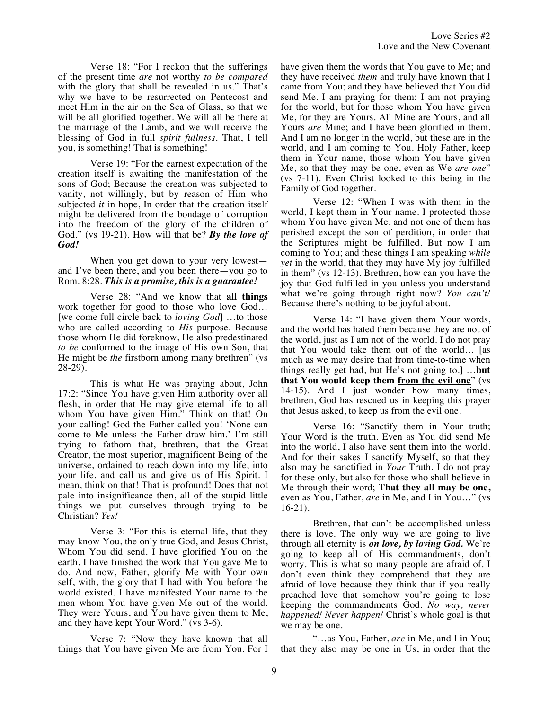Verse 18: "For I reckon that the sufferings of the present time *are* not worthy *to be compared* with the glory that shall be revealed in us." That's why we have to be resurrected on Pentecost and meet Him in the air on the Sea of Glass, so that we will be all glorified together. We will all be there at the marriage of the Lamb, and we will receive the blessing of God in full *spirit fullness*. That, I tell you, is something! That is something!

Verse 19: "For the earnest expectation of the creation itself is awaiting the manifestation of the sons of God; Because the creation was subjected to vanity, not willingly, but by reason of Him who subjected *it* in hope, In order that the creation itself might be delivered from the bondage of corruption into the freedom of the glory of the children of God." (vs 19-21). How will that be? *By the love of God!*

When you get down to your very lowest and I've been there, and you been there—you go to Rom. 8:28. *This is a promise, this is a guarantee!*

Verse 28: "And we know that **all things** work together for good to those who love God… [we come full circle back to *loving God*] …to those who are called according to *His* purpose. Because those whom He did foreknow, He also predestinated *to be* conformed to the image of His own Son, that He might be *the* firstborn among many brethren" (vs 28-29).

This is what He was praying about, John 17:2: "Since You have given Him authority over all flesh, in order that He may give eternal life to all whom You have given Him." Think on that! On your calling! God the Father called you! 'None can come to Me unless the Father draw him.' I'm still trying to fathom that, brethren, that the Great Creator, the most superior, magnificent Being of the universe, ordained to reach down into my life, into your life, and call us and give us of His Spirit. I mean, think on that! That is profound! Does that not pale into insignificance then, all of the stupid little things we put ourselves through trying to be Christian? *Yes!*

Verse 3: "For this is eternal life, that they may know You, the only true God, and Jesus Christ, Whom You did send. I have glorified You on the earth. I have finished the work that You gave Me to do. And now, Father, glorify Me with Your own self, with, the glory that I had with You before the world existed. I have manifested Your name to the men whom You have given Me out of the world. They were Yours, and You have given them to Me, and they have kept Your Word." (vs 3-6).

Verse 7: "Now they have known that all things that You have given Me are from You. For I have given them the words that You gave to Me; and they have received *them* and truly have known that I came from You; and they have believed that You did send Me. I am praying for them; I am not praying for the world, but for those whom You have given Me, for they are Yours. All Mine are Yours, and all Yours *are* Mine; and I have been glorified in them. And I am no longer in the world, but these are in the world, and I am coming to You. Holy Father, keep them in Your name, those whom You have given Me, so that they may be one, even as We *are one*" (vs 7-11). Even Christ looked to this being in the Family of God together.

Verse 12: "When I was with them in the world, I kept them in Your name. I protected those whom You have given Me, and not one of them has perished except the son of perdition, in order that the Scriptures might be fulfilled. But now I am coming to You; and these things I am speaking *while yet* in the world, that they may have My joy fulfilled in them" (vs 12-13). Brethren, how can you have the joy that God fulfilled in you unless you understand what we're going through right now? *You can't!* Because there's nothing to be joyful about.

Verse 14: "I have given them Your words, and the world has hated them because they are not of the world, just as I am not of the world. I do not pray that You would take them out of the world… [as much as we may desire that from time-to-time when things really get bad, but He's not going to.] …**but that You would keep them from the evil one**" (vs 14-15). And I just wonder how many times, brethren, God has rescued us in keeping this prayer that Jesus asked, to keep us from the evil one.

Verse 16: "Sanctify them in Your truth; Your Word is the truth. Even as You did send Me into the world, I also have sent them into the world. And for their sakes I sanctify Myself, so that they also may be sanctified in *Your* Truth. I do not pray for these only, but also for those who shall believe in Me through their word; **That they all may be one,** even as You, Father, *are* in Me, and I in You…" (vs 16-21).

Brethren, that can't be accomplished unless there is love. The only way we are going to live through all eternity is *on love, by loving God.* We're going to keep all of His commandments, don't worry. This is what so many people are afraid of. I don't even think they comprehend that they are afraid of love because they think that if you really preached love that somehow you're going to lose keeping the commandments God. *No way, never happened! Never happen!* Christ's whole goal is that we may be one.

"…as You, Father, *are* in Me, and I in You; that they also may be one in Us, in order that the